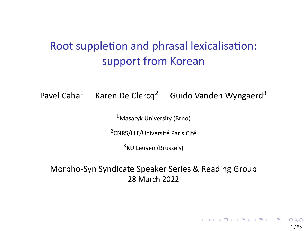## Root suppletion and phrasal lexicalisation: support from Korean

Pavel Caha<sup>1</sup> Karen De Clercq<sup>2</sup> Guido Vanden Wyngaerd<sup>3</sup>

<sup>1</sup>Masaryk University (Brno)

<sup>2</sup>CNRS/LLF/Université Paris Cité

<sup>3</sup>KU Leuven (Brussels)

Morpho‐Syn Syndicate Speaker Series & Reading Group 28 March 2022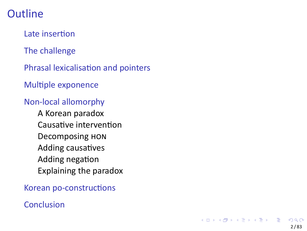Late insertion

The challenge

Phrasal lexicalisation and pointers

Multiple exponence

### Non‐local allomorphy

A Korean paradox Causative intervention Decomposing HON Adding causatives Adding negation Explaining the paradox

Korean po‐constructions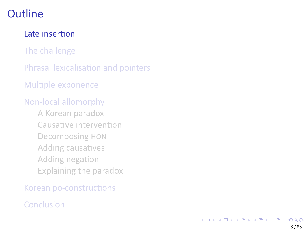#### Late insertion

The challenge

Phrasal lexicalisation and pointers

Multiple exponence

#### Non‐local allomorphy

A Korean paradox Causative intervention Decomposing HON Adding causatives Adding negation Explaining the paradox

Korean po‐constructions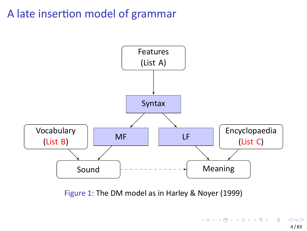# A late insertion model of grammar



Figure 1: The DM model as in Harley & Noyer (1999)

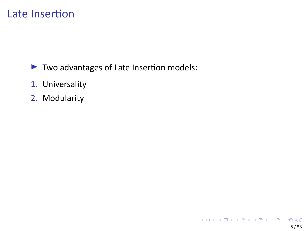## Late Insertion

- ▶ Two advantages of Late Insertion models:
- 1. Universality
- 2. Modularity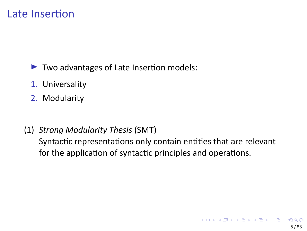## Late Insertion

- ▶ Two advantages of Late Insertion models:
- 1. Universality
- 2. Modularity
- (1) *Strong Modularity Thesis* (SMT) Syntactic representations only contain entities that are relevant for the application of syntactic principles and operations.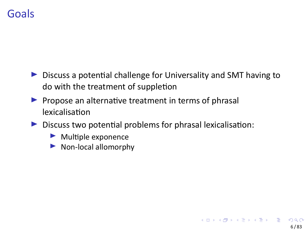### **Goals**

- ▶ Discuss a potential challenge for Universality and SMT having to do with the treatment of suppletion
- ▶ Propose an alternative treatment in terms of phrasal lexicalisation
- ▶ Discuss two potential problems for phrasal lexicalisation:
	- ▶ Multiple exponence
	- ▶ Non-local allomorphy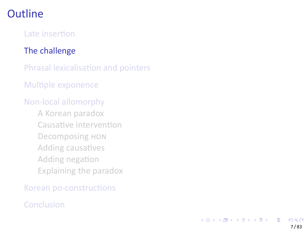Late insertion

#### The challenge

Phrasal lexicalisation and pointers

Multiple exponence

#### Non‐local allomorphy

A Korean paradox Causative intervention Decomposing HON Adding causatives Adding negation Explaining the paradox

Korean po‐constructions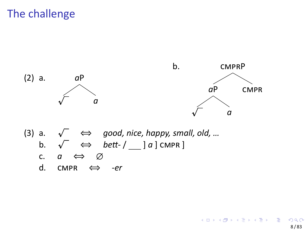# The challenge

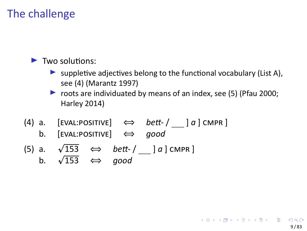# The challenge

- ▶ Two solutions:
	- $\blacktriangleright$  suppletive adjectives belong to the functional vocabulary (List A), see (4) (Marantz 1997)
	- ▶ roots are individuated by means of an index, see (5) (Pfau 2000; Harley 2014)
- (4) a. [EVAL:POSITIVE] *⇔ bett‐* / ] *a* ] CMPR ] b. [EVAL:POSITIVE] *⇔ good*
- (5) a.  $\sqrt{153}$ 153 *⇔ bett‐* / ] *a* ] CMPR ] b. *<sup>p</sup>* 153 *⇔ good*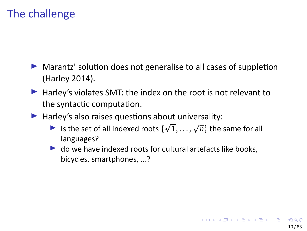## The challenge

- ▶ Marantz' solution does not generalise to all cases of suppletion (Harley 2014).
- ▶ Harley's violates SMT: the index on the root is not relevant to the syntactic computation.
- ▶ Harley's also raises questions about universality:
	- $\triangleright$  is the set of all indexed roots  $\{\sqrt{1}, ..., \sqrt{n}\}$  the same for all languages?
	- $\blacktriangleright$  do we have indexed roots for cultural artefacts like books, bicycles, smartphones, …?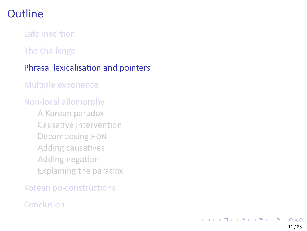Late insertion

The challenge

#### Phrasal lexicalisation and pointers

Multiple exponence

#### Non‐local allomorphy

A Korean paradox Causative intervention Decomposing HON Adding causatives Adding negation Explaining the paradox

Korean po‐constructions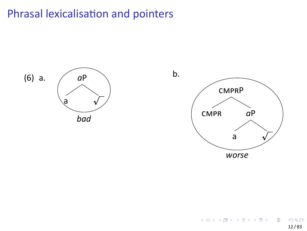# Phrasal lexicalisation and pointers

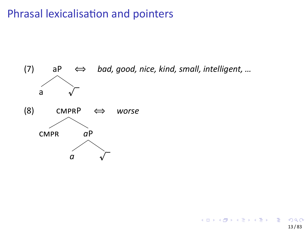# Phrasal lexicalisation and pointers

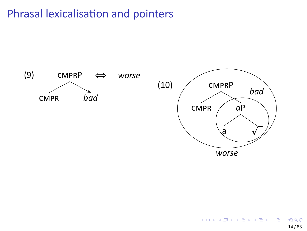# Phrasal lexicalisation and pointers

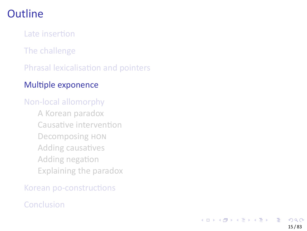Late insertion

The challenge

Phrasal lexicalisation and pointers

### Multiple exponence

#### Non‐local allomorphy

A Korean paradox Causative intervention Decomposing HON Adding causatives Adding negation Explaining the paradox

Korean po‐constructions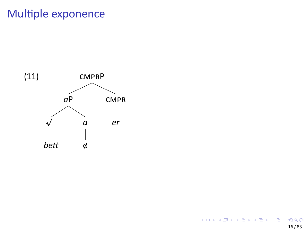# Multiple exponence

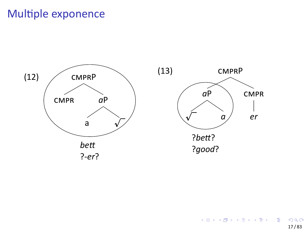# Multiple exponence

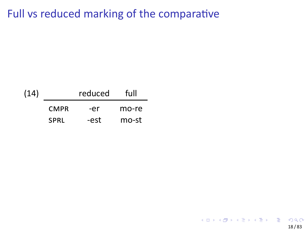# Full vs reduced marking of the comparative

| (14) |             | reduced | full  |
|------|-------------|---------|-------|
|      | <b>CMPR</b> | -er     | mo-re |
|      | <b>SPRL</b> | -est    | mo-st |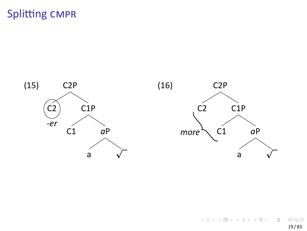

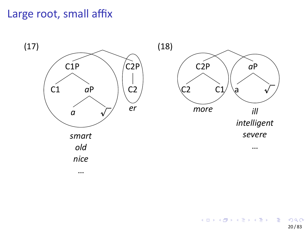# Large root, small affix

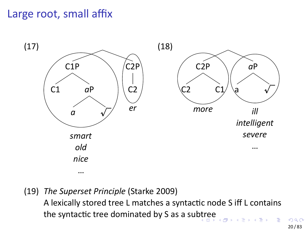# Large root, small affix



. . . the syntactic tree dominated by S as a subtree . . . .  $\bar{\Xi}$  $\left\langle \cdot \right\rangle _{\Xi}$  ). . . (19) *The Superset Principle* (Starke 2009) A lexically stored tree L matches a syntactic node S iff L contains

. . . 20 / 83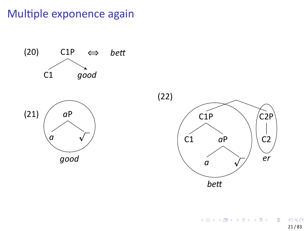# Multiple exponence again



 $\begin{array}{rcl} \left\langle \begin{array}{ccc} 1 & 0 & 0 \\ 0 & 1 & 0 \\ 0 & 0 & 0 \\ 0 & 0 & 0 \\ 0 & 0 & 0 \\ 0 & 0 & 0 \\ 0 & 0 & 0 \\ 0 & 0 & 0 \\ 0 & 0 & 0 \\ 0 & 0 & 0 \\ 0 & 0 & 0 \\ 0 & 0 & 0 \\ 0 & 0 & 0 \\ 0 & 0 & 0 \\ 0 & 0 & 0 \\ 0 & 0 & 0 \\ 0 & 0 & 0 \\ 0 & 0 & 0 \\ 0 & 0 & 0 \\ 0 & 0 & 0 \\ 0 & 0 & 0 \\ 0 & 0 & 0 \\ 0 &$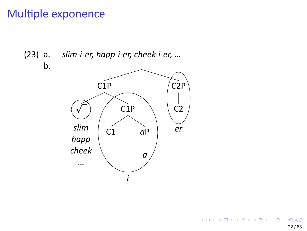# Multiple exponence



 $\mathsf{b}$ .

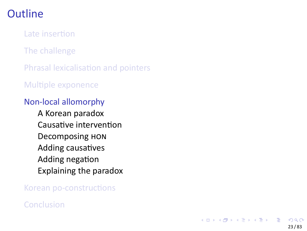Late insertion

The challenge

Phrasal lexicalisation and pointers

Multiple exponence

### Non‐local allomorphy

A Korean paradox Causative intervention Decomposing HON Adding causatives Adding negation Explaining the paradox

Korean po‐constructions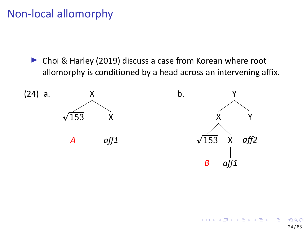# Non‐local allomorphy

▶ Choi & Harley (2019) discuss a case from Korean where root allomorphy is conditioned by a head across an intervening affix.

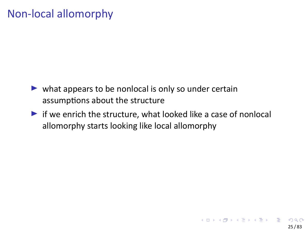# Non‐local allomorphy

- $\blacktriangleright$  what appears to be nonlocal is only so under certain assumptions about the structure
- $\blacktriangleright$  if we enrich the structure, what looked like a case of nonlocal allomorphy starts looking like local allomorphy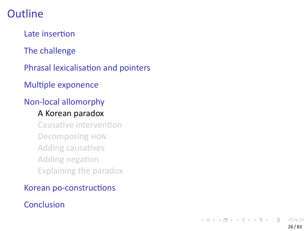Late insertion

The challenge

Phrasal lexicalisation and pointers

Multiple exponence

### Non‐local allomorphy

#### A Korean paradox

Causative intervention Decomposing HON Adding causatives Adding negation Explaining the paradox

#### Korean po‐constructions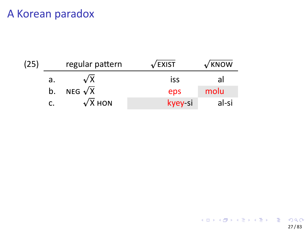| (25) |    | regular pattern | $\sqrt{2}$ EXIST | $\sqrt{k}$ NOW |
|------|----|-----------------|------------------|----------------|
|      | a. | $\sqrt{x}$      | iss              | al             |
|      | b. | NEG $\sqrt{X}$  | eps              | molu           |
|      |    | $\sqrt{x}$ HON  | kyey-si          | al-si          |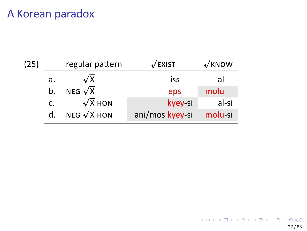| (25) | regular pattern |                    | √EXIST          | $\sqrt{k}$ NOW |
|------|-----------------|--------------------|-----------------|----------------|
|      | a.              | $\sqrt{x}$         | iss             | al             |
|      | b.              | NEG $\sqrt{X}$     | eps             | molu           |
|      | c.              | $\sqrt{x}$ HON     | kyey-si         | al-si          |
|      | d.              | NEG $\sqrt{X}$ HON | ani/mos kyey-si | molu-si        |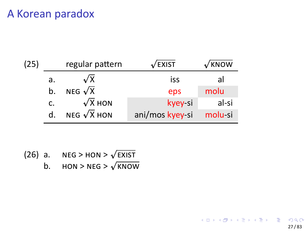| (25) | regular pattern |                    | $\sqrt{2}$ EXIST | $\sqrt{K}$ NOW |
|------|-----------------|--------------------|------------------|----------------|
|      | a.              | $\sqrt{x}$         | iss              | al             |
|      | b.              | NEG $\sqrt{X}$     | eps              | molu           |
|      | c.              | $\sqrt{x}$ HON     | kyey-si          | al-si          |
|      | d.              | NEG $\sqrt{X}$ HON | ani/mos kyey-si  | molu-si        |

(26) a.  $NEG>HON>\sqrt{EXIST}$ 

b.  $HON > NEG > \sqrt{KNOW}$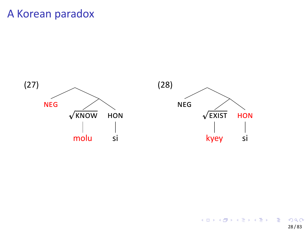

HON

 $\begin{array}{c} \hline \end{array}$ 

 $\overline{\mathsf{si}}$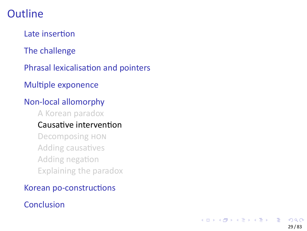Late insertion

The challenge

Phrasal lexicalisation and pointers

Multiple exponence

### Non‐local allomorphy

A Korean paradox

### Causative intervention

Decomposing HON Adding causatives Adding negation Explaining the paradox

#### Korean po‐constructions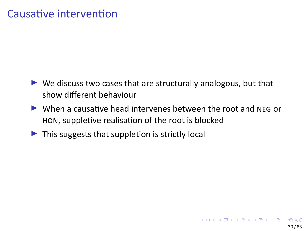## Causative intervention

- ▶ We discuss two cases that are structurally analogous, but that show different behaviour
- ▶ When a causative head intervenes between the root and NEG or HON, suppletive realisation of the root is blocked
- ▶ This suggests that suppletion is strictly local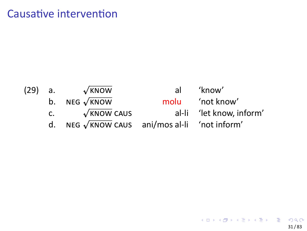## Causative intervention

(29) a. *<sup>p</sup>*

b. NEG *<sup>p</sup>*  $\begin{array}{ccc} \n\text{p.} & \text{neg } \mathbf{v} \\
\text{c.} & \sqrt{\end{array}$ 

 $\sqrt{K NOW}$  al 'know'

 $\sqrt{x}$ NOW molu 'not know'<br> $\sqrt{x}$ NOW CAUS al-li 'let know, i al-li 'let know, inform'

d. NEG *<sup>p</sup>* KNOW CAUS ani/mos al‐li 'not inform'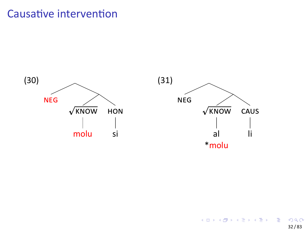## Causative intervention



 $\overline{\phantom{a}}$ -li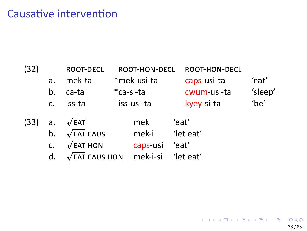### Causative intervention

| (32) |                      | <b>ROOT-DECL</b>                                                                        |            | ROOT-HON-DECL                                  |  | ROOT-HON-DECL               |         |
|------|----------------------|-----------------------------------------------------------------------------------------|------------|------------------------------------------------|--|-----------------------------|---------|
|      | a.                   | mek-ta                                                                                  |            | *mek-usi-ta                                    |  | caps-usi-ta                 | 'eat'   |
|      | b.                   | ca-ta                                                                                   | *ca-si-ta  |                                                |  | cwum-usi-ta                 | 'sleep' |
|      | C <sub>1</sub>       | iss-ta                                                                                  | iss-usi-ta |                                                |  | kyey-si-ta                  | 'be'    |
| (33) | a.<br>b.<br>c.<br>d. | $\sqrt{EAT}$<br>$\sqrt{EAT}$ CAUS<br>$\sqrt{EAT}$ HON<br>$\sqrt{\mathsf{EAT}}$ CAUS HON |            | mek<br>mek-i<br>caps-usi<br>mek-i-si 'let eat' |  | 'eat'<br>'let eat'<br>'eat' |         |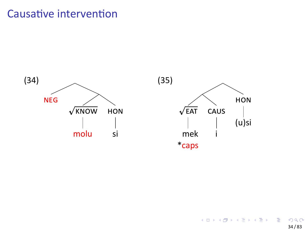### Causative intervention

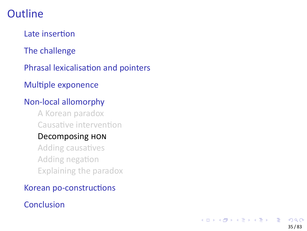### **Outline**

Late insertion

The challenge

Phrasal lexicalisation and pointers

Multiple exponence

#### Non‐local allomorphy

A Korean paradox Causative intervention

#### Decomposing HON

Adding causatives Adding negation Explaining the paradox

#### Korean po‐constructions

#### **Conclusion**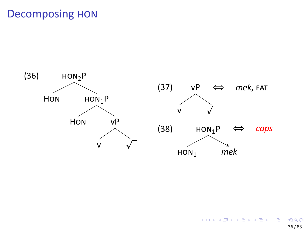

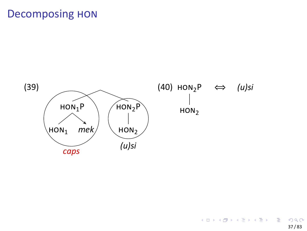## **Decomposing HON**

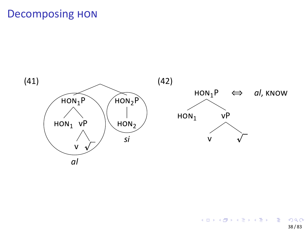## **Decomposing HON**

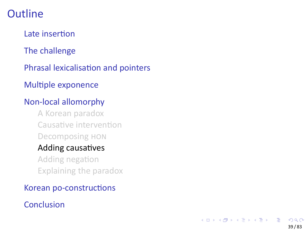### **Outline**

Late insertion

The challenge

Phrasal lexicalisation and pointers

Multiple exponence

#### Non‐local allomorphy

A Korean paradox Causative intervention Decomposing HON

## Adding causatives

Adding negation Explaining the paradox

#### Korean po‐constructions

#### **Conclusion**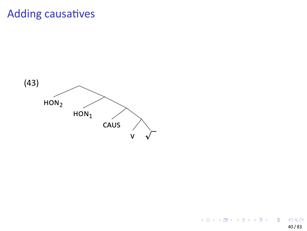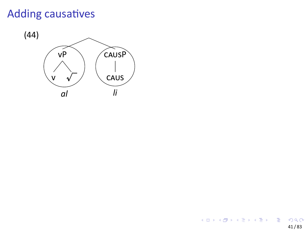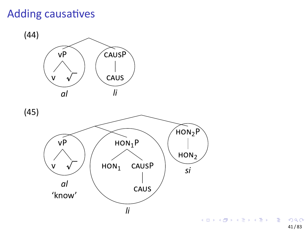

41 / 83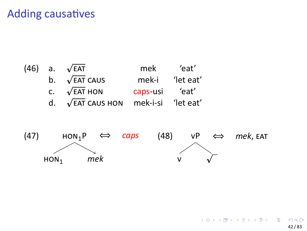

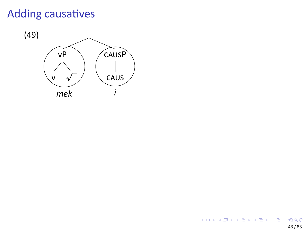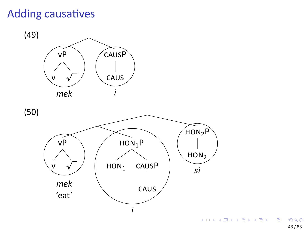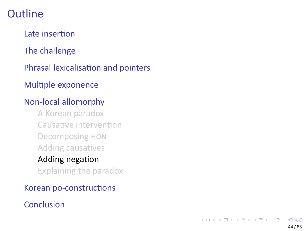### **Outline**

Late insertion

The challenge

Phrasal lexicalisation and pointers

Multiple exponence

#### Non‐local allomorphy

A Korean paradox Causative intervention Decomposing HON Adding causatives Adding negation Explaining the paradox

Korean po‐constructions

#### **Conclusion**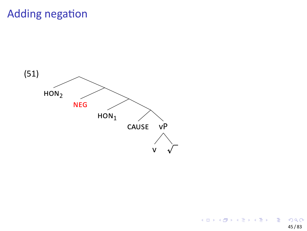## Adding negation

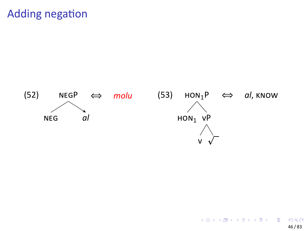

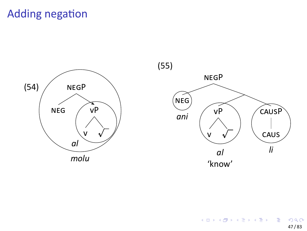## Adding negation



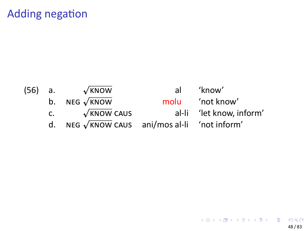## Adding negation

(56) a. *<sup>p</sup>*

 $\sqrt{\text{\tiny K}NOW}$  al 'know' b. NEG *<sup>p</sup>*

 $\begin{array}{ccc} \n\text{p.} & \text{neg } \mathbf{v} \\
\text{c.} & \sqrt{\end{array}$ 

 $\sqrt{x}$ NOW molu 'not know'<br> $\sqrt{x}$ NOW CAUS al-li 'let know, i al-li 'let know, inform'

d. NEG *<sup>p</sup>* KNOW CAUS ani/mos al‐li 'not inform'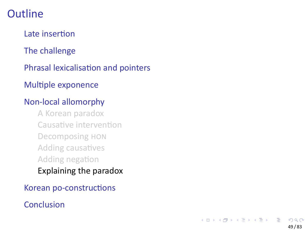### **Outline**

Late insertion

The challenge

Phrasal lexicalisation and pointers

Multiple exponence

#### Non‐local allomorphy

A Korean paradox Causative intervention Decomposing HON Adding causatives Adding negation

#### Explaining the paradox

Korean po‐constructions

#### **Conclusion**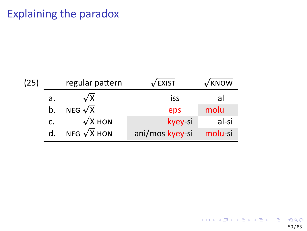| (25) |                      | regular pattern    | /EXIST          | <b>KNOW</b> |
|------|----------------------|--------------------|-----------------|-------------|
|      | а.                   | $\sqrt{x}$         | iss             | al          |
|      | NEG $\sqrt{X}$<br>b. |                    | eps             | molu        |
|      | $\mathsf{C}$ .       | $\sqrt{x}$ HON     | kyey-si         | al-si       |
|      | d.                   | NEG $\sqrt{X}$ HON | ani/mos kyey-si | molu-si     |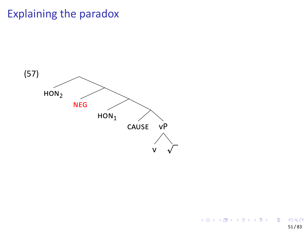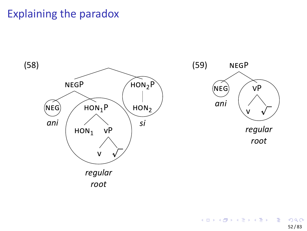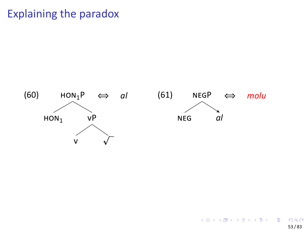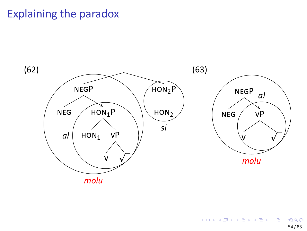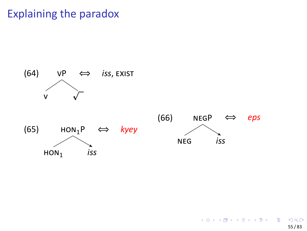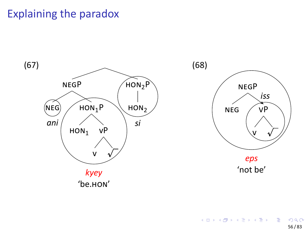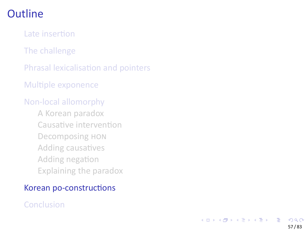#### **Outline**

Late insertion

The challenge

Phrasal lexicalisation and pointers

Multiple exponence

#### Non‐local allomorphy

A Korean paradox Causative intervention Decomposing HON Adding causatives Adding negation Explaining the paradox

#### Korean po‐constructions

#### Conclusion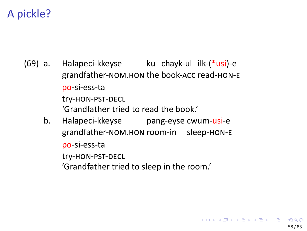### A pickle?

- (69) a. Halapeci‐kkeyse grandfather-NOM.HON the book-ACC read-HON-E ku chayk-ul ilk-(\*usi)-e po‐si‐ess‐ta try‐HON‐PST‐DECL 'Grandfather tried to read the book.' b. Halapeci‐kkeyse pang-eyse cwum-usi-e
	- grandfather-NOM.HON room-in sleep-HON-E po‐si‐ess‐ta try‐HON‐PST‐DECL 'Grandfather tried to sleep in the room.'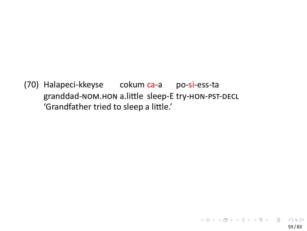(70) Halapeci-kkeyse cokum ca-a po-si-ess-ta granddad-NOM.HON a.little sleep-E try-HON-PST-DECL<br>'Grandfather tried to sleep a little.'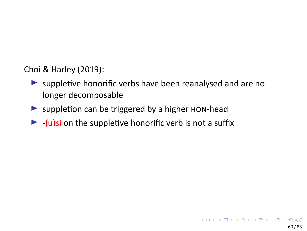Choi & Harley (2019):

- ▶ suppletive honorific verbs have been reanalysed and are no longer decomposable
- ▶ suppletion can be triggered by a higher HON-head
- $\blacktriangleright$  -(u)si on the suppletive honorific verb is not a suffix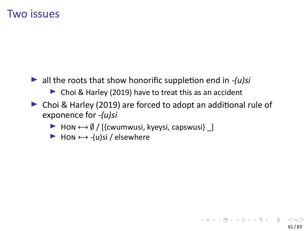#### Two issues

- ▶ all the roots that show honorific suppletion end in *‐(u)si*
	- ▶ Choi & Harley (2019) have to treat this as an accident
- ▶ Choi & Harley (2019) are forced to adopt an additional rule of exponence for *‐(u)si*
	- ▶ Hon  $\leftarrow$  *∮* / [{cwumwusi, kyeysi, capswusi} \_]
	- ▶ HON *↔* ‐(u)si / elsewhere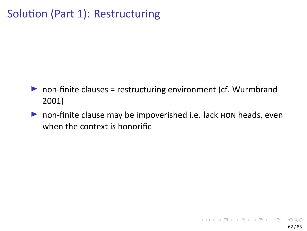## Solution (Part 1): Restructuring

- ▶ non-finite clauses = restructuring environment (cf. Wurmbrand 2001)
- ▶ non-finite clause may be impoverished i.e. lack HON heads, even when the context is honorific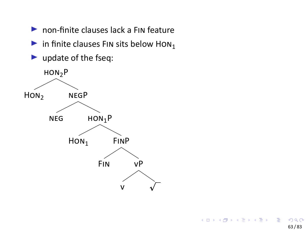- non-finite clauses lack a FIN feature
- in finite clauses FIN sits below  $\text{HON}_1$
- $\blacktriangleright$  update of the fseq:

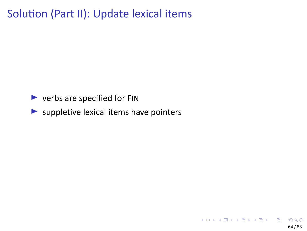Solution (Part II): Update lexical items

- ▶ verbs are specified for FIN
- $\blacktriangleright$  suppletive lexical items have pointers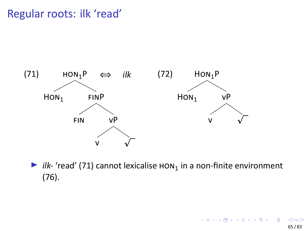## Regular roots: ilk 'read'



▶ *ilk*- 'read' (71) cannot lexicalise  $HON_1$  in a non-finite environment (76).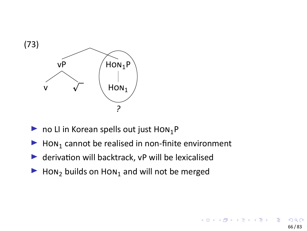

- $\blacktriangleright$  no LI in Korean spells out just HON<sub>1</sub>P
- $\blacktriangleright$  Hon<sub>1</sub> cannot be realised in non-finite environment
- ▶ derivation will backtrack, vP will be lexicalised
- $\blacktriangleright$  Hon<sub>2</sub> builds on Hon<sub>1</sub> and will not be merged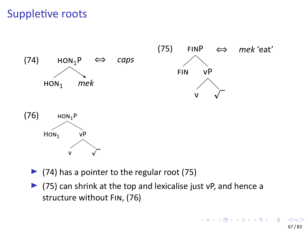# Suppletive roots



- $\blacktriangleright$  (74) has a pointer to the regular root (75)
- ▶ (75) can shrink at the top and lexicalise just vP, and hence a structure without FIN, (76)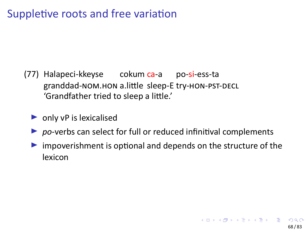# Suppletive roots and free variation

- (77) Halapeci-kkeyse cokum ca-a po-si-ess-ta granddad-NOM.HON a.little sleep-E try-HON-PST-DECL 'Grandfather tried to sleep a little.'
	- only vP is lexicalised
	- $\triangleright$  po-verbs can select for full or reduced infinitival complements
	- Inpoverishment is optional and depends on the structure of the lexicon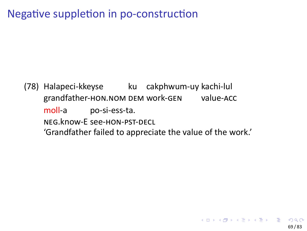# Negative suppletion in po-construction

(78) Halapeci-kkeyse ku cakphwum-uy kachi-lul grandfather-HON.NOM DEM work-GEN value-ACC moll-a po-si-ess-ta. NEG.know-E see-HON-PST-DECL 'Grandfather failed to appreciate the value of the work.'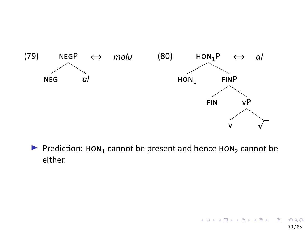

 $\blacktriangleright$  Prediction:  $\text{HON}_1$  cannot be present and hence  $\text{HON}_2$  cannot be either.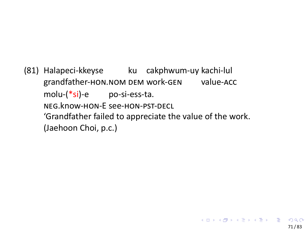(81) Halapeci-kkeyse ku cakphwum-uy kachi-lul grandfather-HON.NOM DEM work-GEN value-ACC molu-(\*si)-e po-si-ess-ta. NEG.know-HON-E see-HON-PST-DECL 'Grandfather failed to appreciate the value of the work. (Jaehoon Choi, p.c.)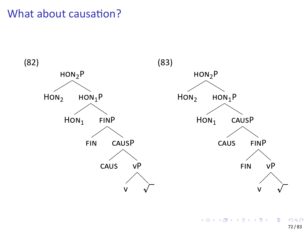



. . . . . . . . . . . . . . . . . . . . . . . . . . . . . . . . . . . . . . . . 72 / 83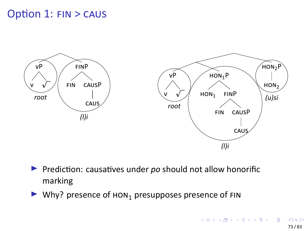# Option 1: FIN > CAUS



- ▶ Prediction: causatives under *po* should not allow honorific marking
- $\blacktriangleright$  Why? presence of  $\text{HON}_1$  presupposes presence of FIN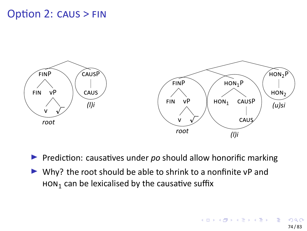# Option 2: CAUS > FIN



- ▶ Prediction: causatives under *po* should allow honorific marking
- ▶ Why? the root should be able to shrink to a nonfinite vP and  $HON<sub>1</sub>$  can be lexicalised by the causative suffix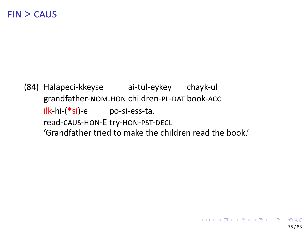$FIN > CAUS$ 

(84) Halapeci-kkeyse ai-tul-eykey chayk-ul grandfather-NOM.HON children-PL-DAT book-ACC ilk-hi-(\*si)-e po-si-ess-ta. read-CAUS-HON-E try-HON-PST-DECL 'Grandfather tried to make the children read the book.'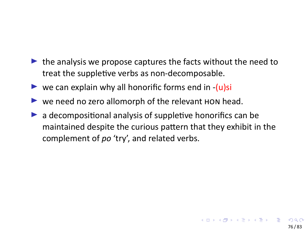- $\blacktriangleright$  the analysis we propose captures the facts without the need to treat the suppletive verbs as non‐decomposable.
- ▶ we can explain why all honorific forms end in  $-(u)$ si
- ▶ we need no zero allomorph of the relevant HON head.
- $\blacktriangleright$  a decompositional analysis of suppletive honorifics can be maintained despite the curious pattern that they exhibit in the complement of *po* 'try', and related verbs.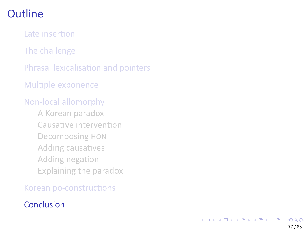### **Outline**

Late insertion

The challenge

Phrasal lexicalisation and pointers

Multiple exponence

#### Non‐local allomorphy

A Korean paradox Causative intervention Decomposing HON Adding causatives Adding negation Explaining the paradox

Korean po‐constructions

#### **Conclusion**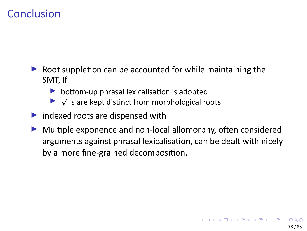### **Conclusion**

- ▶ Root suppletion can be accounted for while maintaining the SMT, if
	- ▶ bottom-up phrasal lexicalisation is adopted
	- $\blacktriangleright \sqrt{\ }$ s are kept distinct from morphological roots
- ▶ indexed roots are dispensed with
- ▶ Multiple exponence and non-local allomorphy, often considered arguments against phrasal lexicalisation, can be dealt with nicely by a more fine‐grained decomposition.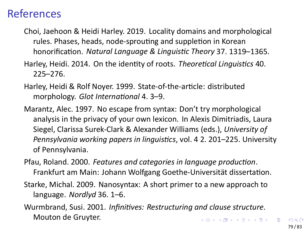#### References

- Choi, Jaehoon & Heidi Harley. 2019. Locality domains and morphological rules. Phases, heads, node‐sprouting and suppletion in Korean honorification. *Natural Language & Linguistic Theory* 37. 1319–1365.
- Harley, Heidi. 2014. On the identity of roots. *Theoretical Linguistics* 40. 225–276.
- Harley, Heidi & Rolf Noyer. 1999. State‐of‐the‐article: distributed morphology. *Glot International* 4. 3–9.
- Marantz, Alec. 1997. No escape from syntax: Don't try morphological analysis in the privacy of your own lexicon. In Alexis Dimitriadis, Laura Siegel, Clarissa Surek‐Clark & Alexander Williams (eds.), *University of Pennsylvania working papers in linguistics*, vol. 4 2. 201–225. University of Pennsylvania.
- Pfau, Roland. 2000. *Features and categories in language production*. Frankfurt am Main: Johann Wolfgang Goethe‐Universität dissertation.
- Starke, Michal. 2009. Nanosyntax: A short primer to a new approach to language. *Nordlyd* 36. 1–6.
- . . . . . . . . . . . . . . . . . . . . . . . . . . . . . . . . . . . . . . . Wurmbrand, Susi. 2001. *Infinitives: Restructuring and clause structure*. Mouton de Gruyter.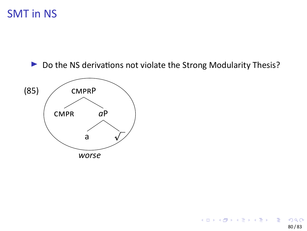### **SMT** in NS



Do the NS derivations not violate the Strong Modularity Thesis?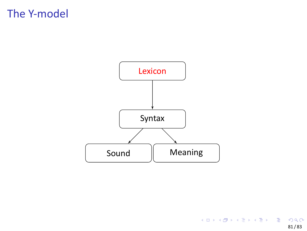# The Y‐model

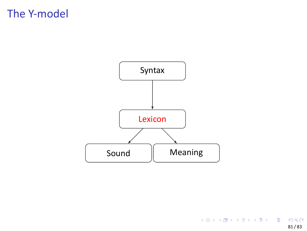# The Y‐model

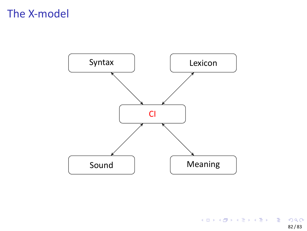# The X-model

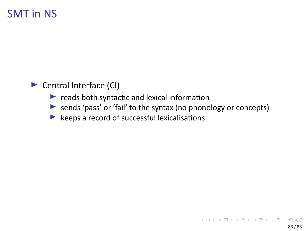SMT in NS

- ▶ Central Interface (CI)
	- $\blacktriangleright$  reads both syntactic and lexical information
	- ▶ sends 'pass' or 'fail' to the syntax (no phonology or concepts)
	- $\blacktriangleright$  keeps a record of successful lexicalisations